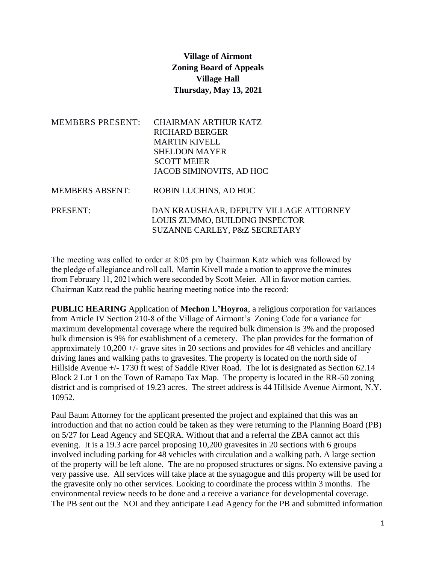## **Village of Airmont Zoning Board of Appeals Village Hall Thursday, May 13, 2021**

| <b>MEMBERS PRESENT:</b> | <b>CHAIRMAN ARTHUR KATZ</b><br><b>RICHARD BERGER</b><br><b>MARTIN KIVELL</b><br><b>SHELDON MAYER</b><br><b>SCOTT MEIER</b><br>JACOB SIMINOVITS, AD HOC |
|-------------------------|--------------------------------------------------------------------------------------------------------------------------------------------------------|
| <b>MEMBERS ABSENT:</b>  | ROBIN LUCHINS, AD HOC                                                                                                                                  |
| <b>PRESENT:</b>         | DAN KRAUSHAAR, DEPUTY VILLAGE ATTORNEY<br>LOUIS ZUMMO, BUILDING INSPECTOR<br>SUZANNE CARLEY, P&Z SECRETARY                                             |

The meeting was called to order at 8:05 pm by Chairman Katz which was followed by the pledge of allegiance and roll call. Martin Kivell made a motion to approve the minutes from February 11, 2021which were seconded by Scott Meier. All in favor motion carries. Chairman Katz read the public hearing meeting notice into the record:

**PUBLIC HEARING** Application of **Mechon L'Hoyroa**, a religious corporation for variances from Article IV Section 210-8 of the Village of Airmont's Zoning Code for a variance for maximum developmental coverage where the required bulk dimension is 3% and the proposed bulk dimension is 9% for establishment of a cemetery. The plan provides for the formation of approximately  $10,200 +$ - grave sites in 20 sections and provides for 48 vehicles and ancillary driving lanes and walking paths to gravesites. The property is located on the north side of Hillside Avenue  $+/- 1730$  ft west of Saddle River Road. The lot is designated as Section 62.14 Block 2 Lot 1 on the Town of Ramapo Tax Map. The property is located in the RR-50 zoning district and is comprised of 19.23 acres. The street address is 44 Hillside Avenue Airmont, N.Y. 10952.

Paul Baum Attorney for the applicant presented the project and explained that this was an introduction and that no action could be taken as they were returning to the Planning Board (PB) on 5/27 for Lead Agency and SEQRA. Without that and a referral the ZBA cannot act this evening. It is a 19.3 acre parcel proposing 10,200 gravesites in 20 sections with 6 groups involved including parking for 48 vehicles with circulation and a walking path. A large section of the property will be left alone. The are no proposed structures or signs. No extensive paving a very passive use. All services will take place at the synagogue and this property will be used for the gravesite only no other services. Looking to coordinate the process within 3 months. The environmental review needs to be done and a receive a variance for developmental coverage. The PB sent out the NOI and they anticipate Lead Agency for the PB and submitted information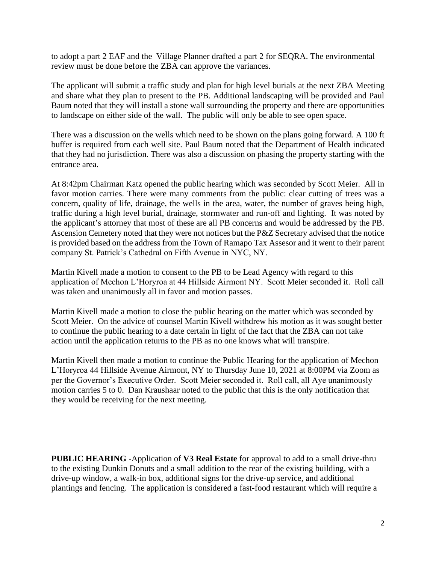to adopt a part 2 EAF and the Village Planner drafted a part 2 for SEQRA. The environmental review must be done before the ZBA can approve the variances.

The applicant will submit a traffic study and plan for high level burials at the next ZBA Meeting and share what they plan to present to the PB. Additional landscaping will be provided and Paul Baum noted that they will install a stone wall surrounding the property and there are opportunities to landscape on either side of the wall. The public will only be able to see open space.

There was a discussion on the wells which need to be shown on the plans going forward. A 100 ft buffer is required from each well site. Paul Baum noted that the Department of Health indicated that they had no jurisdiction. There was also a discussion on phasing the property starting with the entrance area.

At 8:42pm Chairman Katz opened the public hearing which was seconded by Scott Meier. All in favor motion carries. There were many comments from the public: clear cutting of trees was a concern, quality of life, drainage, the wells in the area, water, the number of graves being high, traffic during a high level burial, drainage, stormwater and run-off and lighting. It was noted by the applicant's attorney that most of these are all PB concerns and would be addressed by the PB. Ascension Cemetery noted that they were not notices but the P&Z Secretary advised that the notice is provided based on the address from the Town of Ramapo Tax Assesor and it went to their parent company St. Patrick's Cathedral on Fifth Avenue in NYC, NY.

Martin Kivell made a motion to consent to the PB to be Lead Agency with regard to this application of Mechon L'Horyroa at 44 Hillside Airmont NY. Scott Meier seconded it. Roll call was taken and unanimously all in favor and motion passes.

Martin Kivell made a motion to close the public hearing on the matter which was seconded by Scott Meier. On the advice of counsel Martin Kivell withdrew his motion as it was sought better to continue the public hearing to a date certain in light of the fact that the ZBA can not take action until the application returns to the PB as no one knows what will transpire.

Martin Kivell then made a motion to continue the Public Hearing for the application of Mechon L'Horyroa 44 Hillside Avenue Airmont, NY to Thursday June 10, 2021 at 8:00PM via Zoom as per the Governor's Executive Order. Scott Meier seconded it. Roll call, all Aye unanimously motion carries 5 to 0. Dan Kraushaar noted to the public that this is the only notification that they would be receiving for the next meeting.

**PUBLIC HEARING** -Application of **V3 Real Estate** for approval to add to a small drive-thru to the existing Dunkin Donuts and a small addition to the rear of the existing building, with a drive-up window, a walk-in box, additional signs for the drive-up service, and additional plantings and fencing. The application is considered a fast-food restaurant which will require a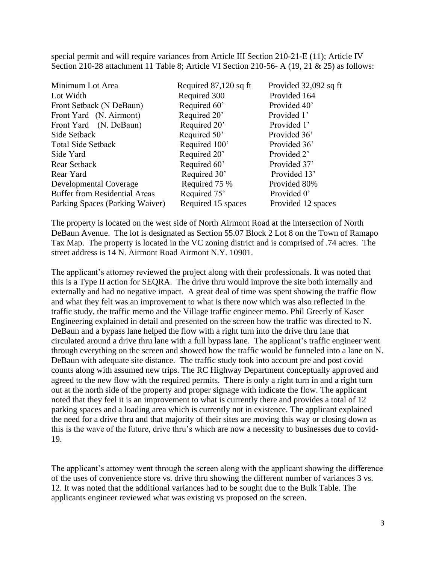special permit and will require variances from Article III Section 210-21-E (11); Article IV Section 210-28 attachment 11 Table 8; Article VI Section 210-56- A (19, 21 & 25) as follows:

| Minimum Lot Area                     | Required 87,120 sq ft | Provided 32,092 sq ft |
|--------------------------------------|-----------------------|-----------------------|
| Lot Width                            | Required 300          | Provided 164          |
| Front Setback (N DeBaun)             | Required 60'          | Provided 40'          |
| Front Yard (N. Airmont)              | Required 20'          | Provided 1'           |
| Front Yard (N. DeBaun)               | Required 20'          | Provided 1'           |
| Side Setback                         | Required 50'          | Provided 36'          |
| Total Side Setback                   | Required 100'         | Provided 36'          |
| Side Yard                            | Required 20'          | Provided 2'           |
| Rear Setback                         | Required 60'          | Provided 37'          |
| Rear Yard                            | Required 30'          | Provided 13'          |
| Developmental Coverage               | Required 75 %         | Provided 80%          |
| <b>Buffer from Residential Areas</b> | Required 75'          | Provided 0'           |
| Parking Spaces (Parking Waiver)      | Required 15 spaces    | Provided 12 spaces    |

The property is located on the west side of North Airmont Road at the intersection of North DeBaun Avenue. The lot is designated as Section 55.07 Block 2 Lot 8 on the Town of Ramapo Tax Map. The property is located in the VC zoning district and is comprised of .74 acres. The street address is 14 N. Airmont Road Airmont N.Y. 10901.

The applicant's attorney reviewed the project along with their professionals. It was noted that this is a Type II action for SEQRA. The drive thru would improve the site both internally and externally and had no negative impact. A great deal of time was spent showing the traffic flow and what they felt was an improvement to what is there now which was also reflected in the traffic study, the traffic memo and the Village traffic engineer memo. Phil Greerly of Kaser Engineering explained in detail and presented on the screen how the traffic was directed to N. DeBaun and a bypass lane helped the flow with a right turn into the drive thru lane that circulated around a drive thru lane with a full bypass lane. The applicant's traffic engineer went through everything on the screen and showed how the traffic would be funneled into a lane on N. DeBaun with adequate site distance. The traffic study took into account pre and post covid counts along with assumed new trips. The RC Highway Department conceptually approved and agreed to the new flow with the required permits. There is only a right turn in and a right turn out at the north side of the property and proper signage with indicate the flow. The applicant noted that they feel it is an improvement to what is currently there and provides a total of 12 parking spaces and a loading area which is currently not in existence. The applicant explained the need for a drive thru and that majority of their sites are moving this way or closing down as this is the wave of the future, drive thru's which are now a necessity to businesses due to covid-19.

The applicant's attorney went through the screen along with the applicant showing the difference of the uses of convenience store vs. drive thru showing the different number of variances 3 vs. 12. It was noted that the additional variances had to be sought due to the Bulk Table. The applicants engineer reviewed what was existing vs proposed on the screen.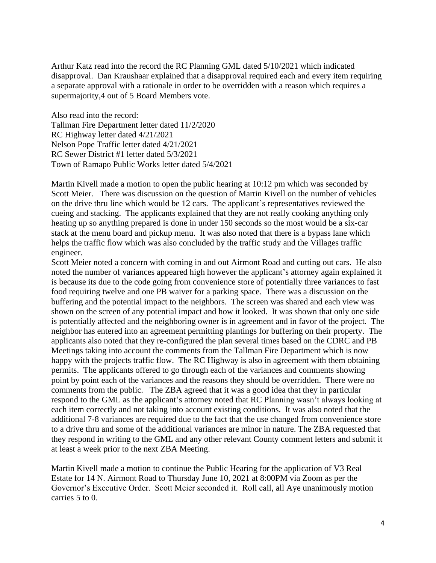Arthur Katz read into the record the RC Planning GML dated 5/10/2021 which indicated disapproval. Dan Kraushaar explained that a disapproval required each and every item requiring a separate approval with a rationale in order to be overridden with a reason which requires a supermajority,4 out of 5 Board Members vote.

Also read into the record: Tallman Fire Department letter dated 11/2/2020 RC Highway letter dated 4/21/2021 Nelson Pope Traffic letter dated 4/21/2021 RC Sewer District #1 letter dated 5/3/2021 Town of Ramapo Public Works letter dated 5/4/2021

Martin Kivell made a motion to open the public hearing at 10:12 pm which was seconded by Scott Meier. There was discussion on the question of Martin Kivell on the number of vehicles on the drive thru line which would be 12 cars. The applicant's representatives reviewed the cueing and stacking. The applicants explained that they are not really cooking anything only heating up so anything prepared is done in under 150 seconds so the most would be a six-car stack at the menu board and pickup menu. It was also noted that there is a bypass lane which helps the traffic flow which was also concluded by the traffic study and the Villages traffic engineer.

Scott Meier noted a concern with coming in and out Airmont Road and cutting out cars. He also noted the number of variances appeared high however the applicant's attorney again explained it is because its due to the code going from convenience store of potentially three variances to fast food requiring twelve and one PB waiver for a parking space. There was a discussion on the buffering and the potential impact to the neighbors. The screen was shared and each view was shown on the screen of any potential impact and how it looked. It was shown that only one side is potentially affected and the neighboring owner is in agreement and in favor of the project. The neighbor has entered into an agreement permitting plantings for buffering on their property. The applicants also noted that they re-configured the plan several times based on the CDRC and PB Meetings taking into account the comments from the Tallman Fire Department which is now happy with the projects traffic flow. The RC Highway is also in agreement with them obtaining permits. The applicants offered to go through each of the variances and comments showing point by point each of the variances and the reasons they should be overridden. There were no comments from the public. The ZBA agreed that it was a good idea that they in particular respond to the GML as the applicant's attorney noted that RC Planning wasn't always looking at each item correctly and not taking into account existing conditions. It was also noted that the additional 7-8 variances are required due to the fact that the use changed from convenience store to a drive thru and some of the additional variances are minor in nature. The ZBA requested that they respond in writing to the GML and any other relevant County comment letters and submit it at least a week prior to the next ZBA Meeting.

Martin Kivell made a motion to continue the Public Hearing for the application of V3 Real Estate for 14 N. Airmont Road to Thursday June 10, 2021 at 8:00PM via Zoom as per the Governor's Executive Order. Scott Meier seconded it. Roll call, all Aye unanimously motion carries 5 to 0.